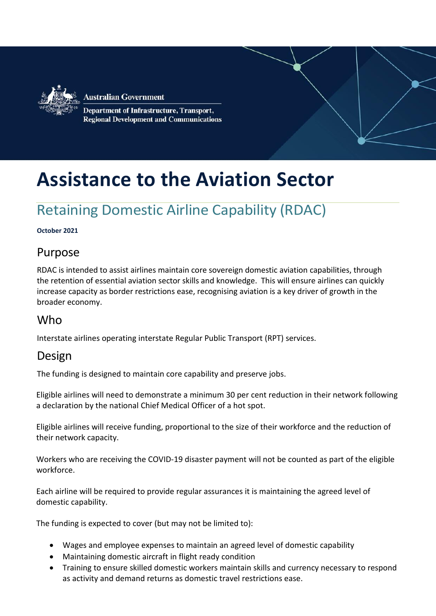

**Australian Government** Department of Infrastructure, Transport, **Regional Development and Communications** 

# **Assistance to the Aviation Sector**

# Retaining Domestic Airline Capability (RDAC)

#### **October 2021**

#### Purpose

RDAC is intended to assist airlines maintain core sovereign domestic aviation capabilities, through the retention of essential aviation sector skills and knowledge. This will ensure airlines can quickly increase capacity as border restrictions ease, recognising aviation is a key driver of growth in the broader economy.

#### **Who**

Interstate airlines operating interstate Regular Public Transport (RPT) services.

#### Design

The funding is designed to maintain core capability and preserve jobs.

Eligible airlines will need to demonstrate a minimum 30 per cent reduction in their network following a declaration by the national Chief Medical Officer of a hot spot.

Eligible airlines will receive funding, proportional to the size of their workforce and the reduction of their network capacity.

Workers who are receiving the COVID-19 disaster payment will not be counted as part of the eligible workforce.

Each airline will be required to provide regular assurances it is maintaining the agreed level of domestic capability.

The funding is expected to cover (but may not be limited to):

- Wages and employee expenses to maintain an agreed level of domestic capability
- Maintaining domestic aircraft in flight ready condition
- Training to ensure skilled domestic workers maintain skills and currency necessary to respond as activity and demand returns as domestic travel restrictions ease.